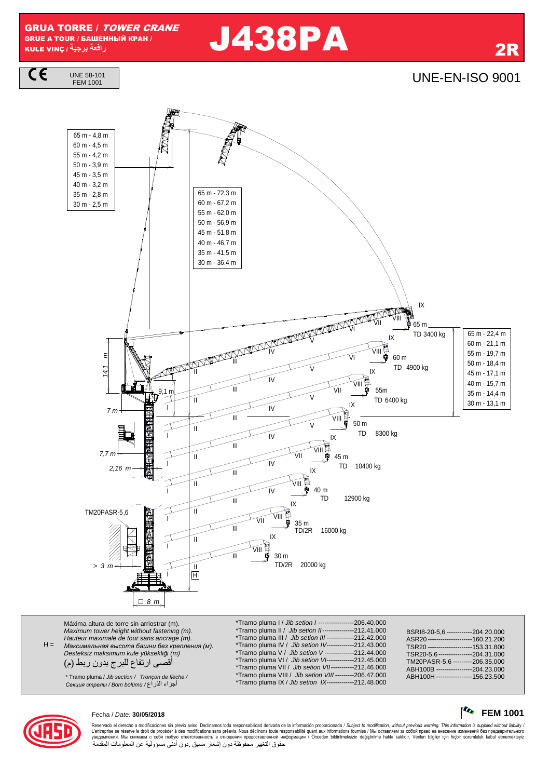GRUA TORRE / TOWER CRANE GRUE A TOUR / БАШЕННЫЙ КРАН / KULE VINÇ **/ -**

UNE 58-101

CE

# **را** J438PA 2R

**UNE-EN-ISO 9001** 



 $H =$ Máxima altura de torre sin arriostrar (m). Maximum tower height without fastening (m). Hauteur maximale de tour sans ancrage (m). *Максимальная высота башни без крепления* (*м*). Desteksiz maksimum kule yüksekli*ğ*i (m) أقصى ارتفاع للبرج بدون ربط (م) \*Tramo pluma I / Jib setion I -----------------206.40.000 \*Tramo pluma II / Jib setion II ---------------212.41.000 \*Tramo pluma III / Jib setion III -------------212.42.000 \*Tramo pluma IV / Jib setion IV-------------212.43.000 \*Tramo pluma V / Jib setion V --------------212.44.000 \*Tramo pluma VI / *Jib setion VI-------------*-212.45.000<br>\*Tramo pluma VII / *Jib setion VI-----------*212.46.000 \*Tramo pluma VII / Jib setion VII -----------212.46.000 \*Tramo pluma VIII / Jib setion VIII ---------206.47.000

\* Tramo pluma / Jib section / Tronçon de flèche / ABH100H ----------------- 156.23.500 أ01اء ا.راع / bölümü Bom / *стрелы Секция*

| Fecha / Date: 30/05/2018 | $\sim$ FEM 1001 |
|--------------------------|-----------------|
|                          |                 |

204.31.000<br>206.35.000

BSRI8-20-5,6 ------------204.20.000<br>ASR20 ----------------------160.21.200 ASR20 -----------------------160.21.200<br>TSR20 ----------------------153.31.800 --------<br>TSR20 ----------------------153.31.800<br>TSR20-5,6 ----------------204.31.000

ABH100B -----------------204.23.000<br>ABH100H -----------------156.23.500

TM20PASR-5,6<br>ABH100B--------



Reservado el derecho a modificaciones sin previo aviso. Declinamos toda responsabilidad derivada de la información proporcionada / Subject to modification, without previous warning. This information is supplied without lia L'entreprise se réserve le droit de procéder à des modifications sans préavis. Nous déclinons toure exponsabilité quant aux informations fournies / Мы оставляем за собой право на внесение изменений без предварительного<br>ув حقوق التغيير محفوظة دون إشعار مسبق دون أدنى مسؤولية عن المعلومات المقدمة

\*Tramo pluma IX / Jib setion IX-------------212.48.000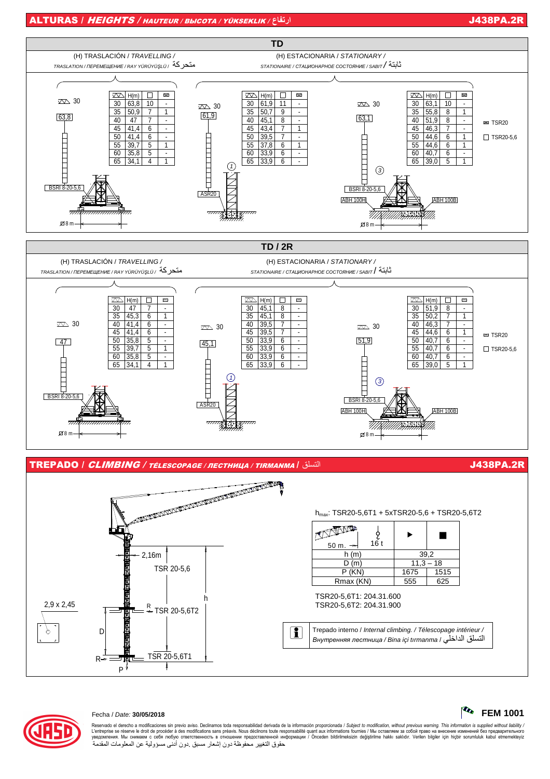### ALTURAS / HEIGHTS / HAUTEUR / ВЫСОТА / YÜKSEKLIK / **ع-**







Reservado el derecho a modificaciones sin previo aviso. Declinamos toda responsabilidad derivada de la información proporcionada / Subject to modification, without previous warning. This information is supplied without lia L'entreprise se réserve le droit de procéder à des modifications sans préavis. Nous déclinons toure exponsabilité quant aux informations fournies / Мы оставляем за собой право на внесение изменений без предварительного<br>ув حقوق التغيير محفوظة دون إشعار مسبق دون أدنى مسؤولية عن المعلومات المقدمة



Fecha / Date: **30/05/2018 FEM 1001**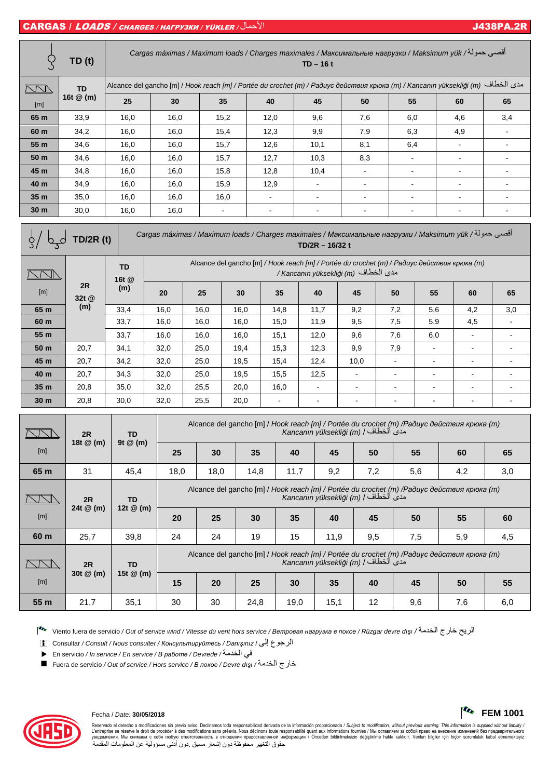# CARGAS / LOADS / CHARGES / НАГРУЗКИ / YÜKLER / ل!7ا J438PA.2R

|                                                                                                                                     | TD (t)      | أقصي حمولة/ Cargas máximas / Maximum loads / Charges maximales / Максимальные нагрузки / Maksimum yük<br>$TD-16t$ |      |      |                                                                                             |                |     |     |     |     |
|-------------------------------------------------------------------------------------------------------------------------------------|-------------|-------------------------------------------------------------------------------------------------------------------|------|------|---------------------------------------------------------------------------------------------|----------------|-----|-----|-----|-----|
| $\Box\Box$                                                                                                                          | <b>TD</b>   | مدى الخطاف (m) / Hook reach [m] / Portée du crochet (m) / Paðuyc действия крюка (m) / Kancanın yüksekliği (m)     |      |      |                                                                                             |                |     |     |     |     |
| [m]                                                                                                                                 | 16t $@$ (m) | 25                                                                                                                | 30   | 35   | 40                                                                                          | 45             | 50  | 55  | 60  | 65  |
| 65 m                                                                                                                                | 33,9        | 16,0                                                                                                              | 16,0 | 15,2 | 12,0                                                                                        | 9,6            | 7,6 | 6,0 | 4,6 | 3,4 |
| 60 m                                                                                                                                | 34,2        | 16,0                                                                                                              | 16,0 | 15,4 | 12,3                                                                                        | 9,9            | 7,9 | 6,3 | 4,9 |     |
| 55 <sub>m</sub>                                                                                                                     | 34,6        | 16,0                                                                                                              | 16,0 | 15,7 | 12,6                                                                                        | 10,1           | 8,1 | 6,4 |     |     |
| 50 <sub>m</sub>                                                                                                                     | 34,6        | 16,0                                                                                                              | 16,0 | 15,7 | 12,7                                                                                        | 10,3           | 8,3 |     |     |     |
| 45 m                                                                                                                                | 34,8        | 16,0                                                                                                              | 16,0 | 15,8 | 12,8                                                                                        | 10,4           |     |     |     |     |
| 40 m                                                                                                                                | 34,9        | 16,0                                                                                                              | 16,0 | 15,9 | 12,9                                                                                        |                |     |     |     |     |
| 35 <sub>m</sub>                                                                                                                     | 35,0        | 16,0                                                                                                              | 16,0 | 16,0 | $\overline{\phantom{a}}$                                                                    | $\blacksquare$ | ۰   |     |     |     |
| 30 <sub>m</sub>                                                                                                                     | 30,0        | 16,0                                                                                                              | 16,0 | ٠    | ۰                                                                                           |                |     |     |     |     |
| أقصى حمولة/ Cargas máximas / Maximum loads / Charges maximales / Максимальные нагрузки / Maksimum yük<br>D/2R(t)<br>TD/2R - 16/32 t |             |                                                                                                                   |      |      |                                                                                             |                |     |     |     |     |
|                                                                                                                                     |             | <b>TD</b>                                                                                                         |      |      | Alcance del gancho [m] / Hook reach [m] / Portée du crochet (m) / Paduyc действия крюка (m) |                |     |     |     |     |

|                 |                    | TD<br>16t @ | woulded act gainers [11] / Hook Readily Hilf / Force ad crocilet [11] / Facaye ocaelineasi Reicha [11]<br>/ Kancanın yüksekliği (m) مدى الخطاف |      |      |        |                |      |                          |                          |     |     |  |
|-----------------|--------------------|-------------|------------------------------------------------------------------------------------------------------------------------------------------------|------|------|--------|----------------|------|--------------------------|--------------------------|-----|-----|--|
| $[{\sf m}]$     | 2R<br>(m)<br>32t @ | 20          | 25                                                                                                                                             | 30   | 35   | 40     | 45             | 50   | 55                       | 60                       | 65  |     |  |
| 65 m            | (m)                | 33,4        | 16,0                                                                                                                                           | 16,0 | 16,0 | 14,8   | 11,7           | 9,2  | 7,2                      | 5,6                      | 4,2 | 3,0 |  |
| 60 m            |                    | 33,7        | 16,0                                                                                                                                           | 16,0 | 16,0 | 15,0   | 11,9           | 9,5  | 7,5                      | 5,9                      | 4,5 |     |  |
| 55 m            |                    | 33,7        | 16,0                                                                                                                                           | 16,0 | 16,0 | 15,1   | 12,0           | 9,6  | 7,6                      | 6,0                      |     |     |  |
| 50 m            | 20,7               | 34,1        | 32,0                                                                                                                                           | 25,0 | 19,4 | 15,3   | 12,3           | 9,9  | 7,9                      | $\overline{\phantom{a}}$ |     |     |  |
| 45 m            | 20,7               | 34,2        | 32,0                                                                                                                                           | 25,0 | 19,5 | 15,4   | 12,4           | 10,0 | $\blacksquare$           | $\overline{\phantom{a}}$ |     | ۰   |  |
| 40 m            | 20,7               | 34,3        | 32,0                                                                                                                                           | 25,0 | 19,5 | 15,5   | 12,5           | ۰    | $\overline{\phantom{a}}$ | -                        |     | ۰   |  |
| 35 <sub>m</sub> | 20,8               | 35,0        | 32,0                                                                                                                                           | 25,5 | 20,0 | 16,0   | $\blacksquare$ | ۰    | $\blacksquare$           | ۰                        |     | ۰   |  |
| 30 <sub>m</sub> | 20,8               | 30,0        | 32,0                                                                                                                                           | 25,5 | 20,0 | $\sim$ | $\blacksquare$ | ٠    | $\overline{\phantom{a}}$ | $\,$                     |     | ٠   |  |

|      | 2R              | TD                       | Alcance del gancho [m] / Hook reach [m] / Portée du crochet (m) /Радиус действия крюка (m)<br>Kancanın yüksekliği (m) / الخطاف / Kancanın yüksekliği |                                                                                                                                    |      |      |      |     |     |     |     |
|------|-----------------|--------------------------|------------------------------------------------------------------------------------------------------------------------------------------------------|------------------------------------------------------------------------------------------------------------------------------------|------|------|------|-----|-----|-----|-----|
| [m]  | 18t @ (m)       | 9t $@$ (m)               | 25                                                                                                                                                   | 30                                                                                                                                 | 35   | 40   | 45   | 50  | 55  | 60  | 65  |
| 65 m | 31              | 45.4                     | 18,0                                                                                                                                                 | 18,0                                                                                                                               | 14,8 | 11,7 | 9,2  | 7,2 | 5,6 | 4,2 | 3,0 |
|      | 2R<br>24t @ (m) | <b>TD</b><br>12t $@$ (m) |                                                                                                                                                      | Alcance del gancho [m] / Hook reach [m] / Portée du crochet (m) /Paduyc deŭcmeus крюка (m)<br>Kancanın yüksekliği (m) / الخطاف /   |      |      |      |     |     |     |     |
| [m]  |                 |                          | 20                                                                                                                                                   | 25                                                                                                                                 | 30   | 35   | 40   | 45  | 50  | 55  | 60  |
| 60 m | 25,7            | 39,8                     | 24                                                                                                                                                   | 24                                                                                                                                 | 19   | 15   | 11,9 | 9,5 | 7,5 | 5,9 | 4,5 |
|      | 2R              | <b>TD</b>                |                                                                                                                                                      | Alcance del gancho [m] / Hook reach [m] / Portée du crochet (m) /Радиус действия крюка (m)<br>Kancanın yüksekliği (m) / مدى الخطاف |      |      |      |     |     |     |     |
| [m]  | 30t $@$ (m)     | 15t $@$ (m)              | 15                                                                                                                                                   | 20                                                                                                                                 | 25   | 30   | 35   | 40  | 45  | 50  | 55  |
| 55 m | 21,7            | 35,1                     | 30                                                                                                                                                   | 30                                                                                                                                 | 24,8 | 19,0 | 15,1 | 12  | 9,6 | 7,6 | 6,0 |

Viento fuera de servicio / Out of service wind / Vitesse du vent hors service / *Ветровая нагрузка <sup>в</sup> покое* / Rüzgar devre dı*ş*ı / 8ا رج5 9:ا

i Consultar / Consult / Nous consulter / *Консультируйтесь* / Danı*ş*ınız / إ ع1ا

· En servicio / In service / En service / *<sup>В</sup> работе* / Devrede / 8ا 4;

Fuera de servicio / Out of service / Hors service / *<sup>В</sup> покое* / Devre dı*ş*ı / 8ا رج5



Reservado el derecho a modificaciones sin previo aviso. Declinamos toda responsabilidad derivada de la información proporcionada / Subject to modification, without previous warning. This information is supplied without lia L'entreprise est response des modifications sans préavis. Nous déclinons buvailes quant aux informations fournies / Mы оставляем за собой право на внесение изменений без предварительного المعلومات ("Intreprise se réserve

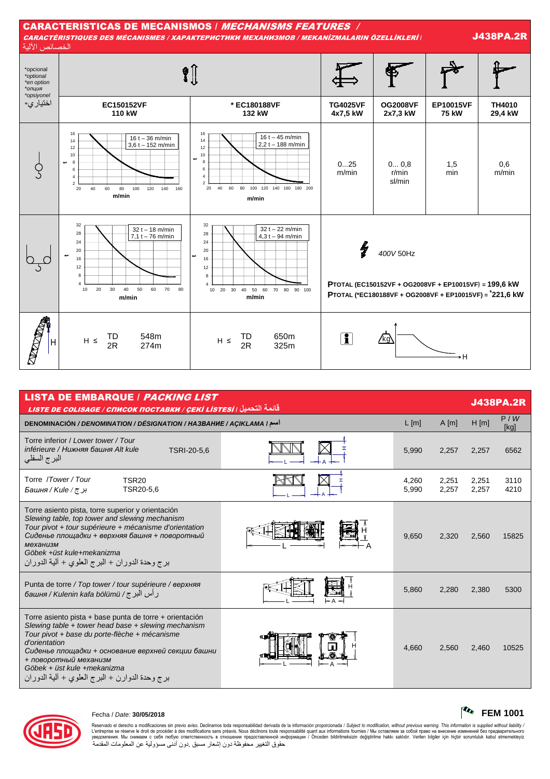

| <b>LISTA DE EMBARQUE / PACKING LIST</b><br>قائمة التحميل <sub>/</sub> LISTE DE COLISAGE / СПИСОК ПОСТАВКИ / ÇEKİ LİS <u>TESİ</u>                                                                                                                                                                                                                |         |                |                |                |              |  |  |  |  |
|-------------------------------------------------------------------------------------------------------------------------------------------------------------------------------------------------------------------------------------------------------------------------------------------------------------------------------------------------|---------|----------------|----------------|----------------|--------------|--|--|--|--|
| DENOMINACIÓN / DENOMINATION / DÉSIGNATION / HA3BAHHE / AÇIKLAMA / اسم                                                                                                                                                                                                                                                                           | $L$ [m] | $A$ [m]        | $H$ [m]        | P/W<br>[kg]    |              |  |  |  |  |
| Torre inferior / Lower tower / Tour<br>inférieure / Нижняя башня Alt kule<br>TSRI-20-5.6<br>البرج السفلي                                                                                                                                                                                                                                        |         | 5,990          | 2,257          | 2,257          | 6562         |  |  |  |  |
| Torre /Tower/Tour<br><b>TSR20</b><br>TSR20-5.6<br>بر <i>ج / Башня / Киle</i>                                                                                                                                                                                                                                                                    |         | 4,260<br>5,990 | 2,251<br>2,257 | 2,251<br>2,257 | 3110<br>4210 |  |  |  |  |
| Torre asiento pista, torre superior y orientación<br>Slewing table, top tower and slewing mechanism<br>Tour pivot + tour supérieure + mécanisme d'orientation<br>Сиденье площадки + верхняя башня + поворотный<br>механизм<br>Göbek +üst kule+mekanizma<br>برج وحدة الدوران + البرج العلوي + ألية الدوران                                       |         | 9,650          | 2,320          | 2,560          | 15825        |  |  |  |  |
| Punta de torre / Top tower / tour supérieure / верхняя<br>ر أس البر ج/ башня / Kulenin kafa bölümü /                                                                                                                                                                                                                                            |         | 5,860          | 2.280          | 2,380          | 5300         |  |  |  |  |
| Torre asiento pista + base punta de torre + orientación<br>Slewing table + tower head base + slewing mechanism<br>Tour pivot + base du porte-flèche + mécanisme<br>d'orientation<br>Сиденье площадки + основание верхней секции башни<br>+ поворотный механизм<br>Göbek + üst kule +mekanizma<br>برج وحدة الدوارن + البرج العلوي + ألية الدوران |         | 4,660          | 2,560          | 2,460          | 10525        |  |  |  |  |



Reservado el derecho a modificaciones sin previo aviso. Declinamos toda responsabilidad derivada de la información proporcionada / Subject to modification, without previous warning. This information is supplied without lia L'entreprise se réserve le droit de procéder à des modifications sans préavis. Nous déclinons toure exponsabilité quant aux informations fournies / Мы оставляем за собой право на внесение изменений без предварительного<br>ув حقوق التغيير محفوظة دون إشعار مسبق دون أدنى مسؤولية عن المعلومات المقدمة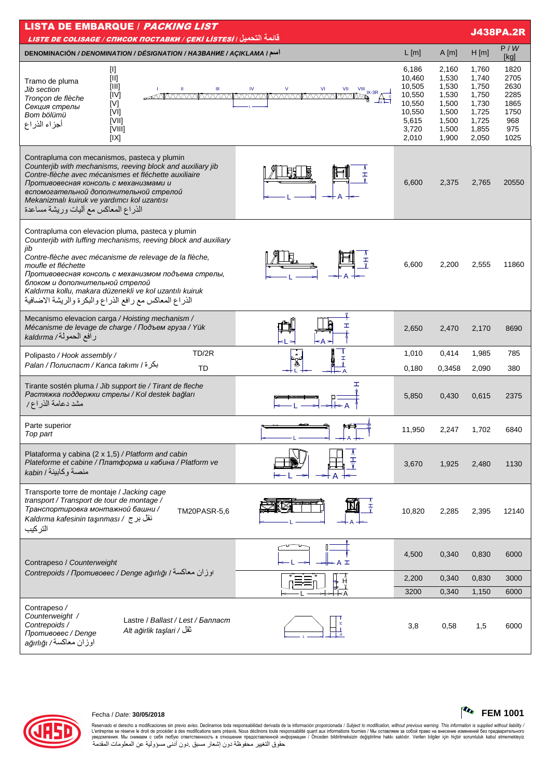| <b>LISTA DE EMBARQUE / PACKING LIST</b><br>قائمة التحميل <i>( LISTE DE COLISAGE / СПИСОК ПОСТАВКИ / ÇEKİ LİSTESİ</i>                                                                                                                                                                                                                                                                                                                                                                                            |                                                                                    |                                                                               |                                                                               | <b>J438PA.2R</b>                                                   |
|-----------------------------------------------------------------------------------------------------------------------------------------------------------------------------------------------------------------------------------------------------------------------------------------------------------------------------------------------------------------------------------------------------------------------------------------------------------------------------------------------------------------|------------------------------------------------------------------------------------|-------------------------------------------------------------------------------|-------------------------------------------------------------------------------|--------------------------------------------------------------------|
| DENOMINACIÓN / DENOMINATION / DÉSIGNATION / HA3BAHUE / AÇIKLAMA I                                                                                                                                                                                                                                                                                                                                                                                                                                               | L[m]                                                                               | $A$ [m]                                                                       | H[m]                                                                          | P/W<br>[kg]                                                        |
| [I]<br>$[  ] % \begin{center} % \includegraphics[width=\linewidth]{imagesSupplemental_3.png} % \end{center} % \caption { % Our method can be used for the proposed method. % } % \label{fig:example} %$<br>Tramo de pluma<br>[III]<br>Ш<br>$\vee$<br>VI<br><b>IV</b><br><b>Jib section</b><br>VII<br>$\frac{VIII}{V}$ IX-3R $\Delta \frac{+}{+}$<br>[IV]<br><u>AMMAANANIMAANANIMAANANIMAANANI</u><br>Tronçon de flèche<br>[V]<br>Секция стрелы<br>IVII<br>Bom bölümü<br>[VII]<br>أجزاء الذراع<br>[VIII]<br>[IX] | 6,186<br>10,460<br>10,505<br>10,550<br>10,550<br>10,550<br>5,615<br>3,720<br>2,010 | 2,160<br>1,530<br>1,530<br>1,530<br>1,500<br>1,500<br>1,500<br>1,500<br>1,900 | 1,760<br>1,740<br>1,750<br>1,750<br>1,730<br>1,725<br>1,725<br>1,855<br>2,050 | 1820<br>2705<br>2630<br>2285<br>1865<br>1750<br>968<br>975<br>1025 |
| Contrapluma con mecanismos, pasteca y plumin<br>Counterjib with mechanisms, reeving block and auxiliary jib<br>Contre-flèche avec mécanismes et fléchette auxiliaire<br>Ŧ<br>Противовесная консоль с механизмами и<br>вспомогательной дополнительной стрелой<br>Mekanizmalı kuiruk ve yardımcı kol uzantısı<br>الذراع المعاكس مع أليات وريشة مساعدة                                                                                                                                                             | 6,600                                                                              | 2,375                                                                         | 2,765                                                                         | 20550                                                              |
| Contrapluma con elevacion pluma, pasteca y plumin<br>Counterjib with luffing mechanisms, reeving block and auxiliary<br>jib<br>Contre-flèche avec mécanisme de relevage de la flèche,<br>moufle et fléchette<br>Противовесная консоль с механизмом подъема стрелы,<br>блоком и дополнительной стрелой<br>Kaldırma kollu, makara düzenekli ve kol uzantılı kuiruk<br>الذراع المعاكس مع رافع الذراع والبكرة والريشة الاضافية                                                                                      | 6,600                                                                              | 2,200                                                                         | 2,555                                                                         | 11860                                                              |
| Mecanismo elevacion carga / Hoisting mechanism /<br>I<br>Mécanisme de levage de charge / Подъем груза / Yük<br>رافع الحمولة/ kaldırma<br>≤A >                                                                                                                                                                                                                                                                                                                                                                   | 2,650                                                                              | 2,470                                                                         | 2,170                                                                         | 8690                                                               |
| TD/2R<br>Polipasto / Hook assembly /<br>$\pmb{\alpha}$<br>I<br>بكرة / Palan / Полиспаст / Kanca takımı<br><b>TD</b>                                                                                                                                                                                                                                                                                                                                                                                             | 1,010<br>0,180                                                                     | 0,414<br>0,3458                                                               | 1,985<br>2,090                                                                | 785<br>380                                                         |
| Ŧ.<br>Tirante sostén pluma / Jib support tie / Tirant de fleche<br>Растяжка поддержки стрелы / Kol destek bağları<br>مشد دعامة الذراع/                                                                                                                                                                                                                                                                                                                                                                          | 5,850                                                                              | 0,430                                                                         | 0,615                                                                         | 2375                                                               |
| Parte superior<br>طودو<br>Top part<br>$+$ A $+$                                                                                                                                                                                                                                                                                                                                                                                                                                                                 | 11,950                                                                             | 2,247                                                                         | 1,702                                                                         | 6840                                                               |
| Plataforma y cabina (2 x 1,5) / Platform and cabin<br>Plateforme et cabine / Платформа и кабина / Platform ve<br>منصة وكابينة / kabin                                                                                                                                                                                                                                                                                                                                                                           | 3,670                                                                              | 1,925                                                                         | 2,480                                                                         | 1130                                                               |
| Transporte torre de montaje / Jacking cage<br>transport / Transport de tour de montage /<br>Транспортировка монтажной башни /<br>TM20PASR-5,6<br>نقل بر ج / Kaldırma kafesinin taşınması<br>التركيب                                                                                                                                                                                                                                                                                                             | 10,820                                                                             | 2,285                                                                         | 2,395                                                                         | 12140                                                              |
| Contrapeso / Counterweight                                                                                                                                                                                                                                                                                                                                                                                                                                                                                      | 4,500                                                                              | 0,340                                                                         | 0,830                                                                         | 6000                                                               |
| اوزان معاكسة / Contrepoids / Противовес / Denge ağırlığı                                                                                                                                                                                                                                                                                                                                                                                                                                                        | 2,200                                                                              | 0,340                                                                         | 0,830                                                                         | 3000                                                               |
|                                                                                                                                                                                                                                                                                                                                                                                                                                                                                                                 | 3200                                                                               | 0,340                                                                         | 1,150                                                                         | 6000                                                               |
| Contrapeso /<br>Counterweight /<br>Lastre / Ballast / Lest / Балласт<br>Contrepoids /<br>ٹقل / Alt ağirlik taşlari<br>Противовес / Denge<br>اوزان معاكسة/ ağırlığı                                                                                                                                                                                                                                                                                                                                              | 3,8                                                                                | 0,58                                                                          | 1,5                                                                           | 6000                                                               |



### Fecha / Date: 30/05/2018

. مصدر المسلم المسلم المسلم المسلم المسلم المسلم المسلم المسلم المسلم المسلم المسلم المسلم المسلم المسلم المسلم<br>Neservation and incomes sin previousies in previousies and financion sans préavis. Nous déclinons toute resp

 $\sim$  FEM 1001